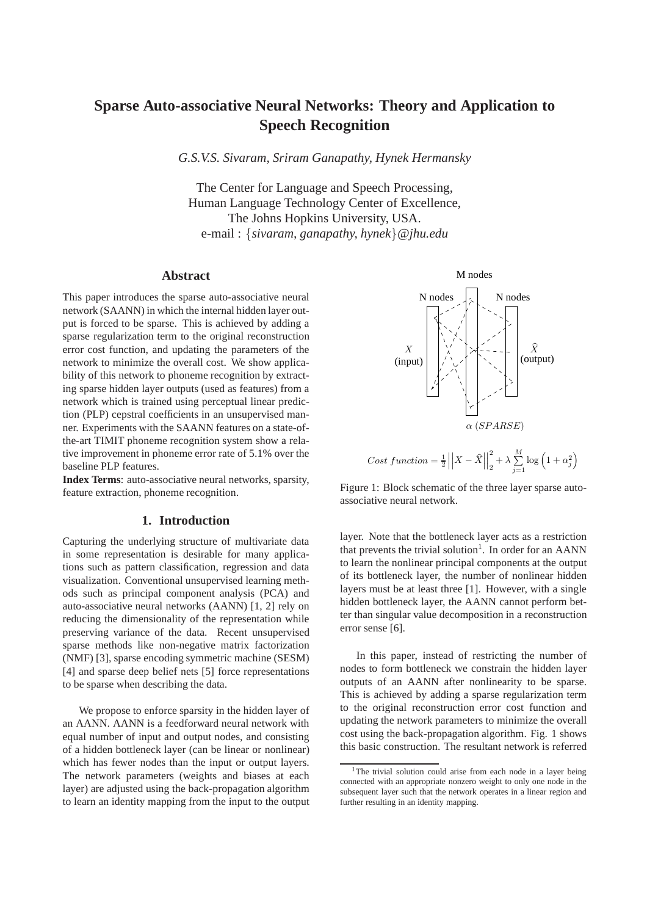# **Sparse Auto-associative Neural Networks: Theory and Application to Speech Recognition**

*G.S.V.S. Sivaram, Sriram Ganapathy, Hynek Hermansky*

The Center for Language and Speech Processing, Human Language Technology Center of Excellence, The Johns Hopkins University, USA. e-mail : {*sivaram, ganapathy, hynek*}*@jhu.edu*

## **Abstract**

This paper introduces the sparse auto-associative neural network (SAANN) in which the internal hidden layer output is forced to be sparse. This is achieved by adding a sparse regularization term to the original reconstruction error cost function, and updating the parameters of the network to minimize the overall cost. We show applicability of this network to phoneme recognition by extracting sparse hidden layer outputs (used as features) from a network which is trained using perceptual linear prediction (PLP) cepstral coefficients in an unsupervised manner. Experiments with the SAANN features on a state-ofthe-art TIMIT phoneme recognition system show a relative improvement in phoneme error rate of 5.1% over the baseline PLP features.

**Index Terms**: auto-associative neural networks, sparsity, feature extraction, phoneme recognition.

## **1. Introduction**

Capturing the underlying structure of multivariate data in some representation is desirable for many applications such as pattern classification, regression and data visualization. Conventional unsupervised learning methods such as principal component analysis (PCA) and auto-associative neural networks (AANN) [1, 2] rely on reducing the dimensionality of the representation while preserving variance of the data. Recent unsupervised sparse methods like non-negative matrix factorization (NMF) [3], sparse encoding symmetric machine (SESM) [4] and sparse deep belief nets [5] force representations to be sparse when describing the data.

We propose to enforce sparsity in the hidden layer of an AANN. AANN is a feedforward neural network with equal number of input and output nodes, and consisting of a hidden bottleneck layer (can be linear or nonlinear) which has fewer nodes than the input or output layers. The network parameters (weights and biases at each layer) are adjusted using the back-propagation algorithm to learn an identity mapping from the input to the output



Cost function = 
$$
\frac{1}{2} \left| \left| X - \hat{X} \right| \right|_2^2 + \lambda \sum_{j=1}^M \log \left( 1 + \alpha_j^2 \right)
$$

Figure 1: Block schematic of the three layer sparse autoassociative neural network.

layer. Note that the bottleneck layer acts as a restriction that prevents the trivial solution<sup>1</sup>. In order for an AANN to learn the nonlinear principal components at the output of its bottleneck layer, the number of nonlinear hidden layers must be at least three [1]. However, with a single hidden bottleneck layer, the AANN cannot perform better than singular value decomposition in a reconstruction error sense [6].

In this paper, instead of restricting the number of nodes to form bottleneck we constrain the hidden layer outputs of an AANN after nonlinearity to be sparse. This is achieved by adding a sparse regularization term to the original reconstruction error cost function and updating the network parameters to minimize the overall cost using the back-propagation algorithm. Fig. 1 shows this basic construction. The resultant network is referred

<sup>&</sup>lt;sup>1</sup>The trivial solution could arise from each node in a layer being connected with an appropriate nonzero weight to only one node in the subsequent layer such that the network operates in a linear region and further resulting in an identity mapping.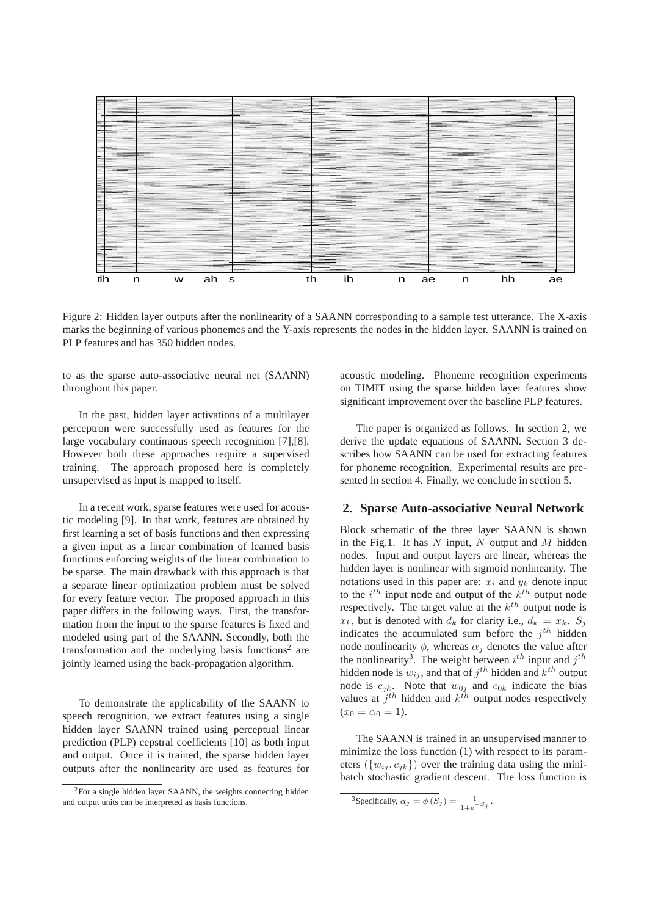

Figure 2: Hidden layer outputs after the nonlinearity of a SAANN corresponding to a sample test utterance. The X-axis marks the beginning of various phonemes and the Y-axis represents the nodes in the hidden layer. SAANN is trained on PLP features and has 350 hidden nodes.

to as the sparse auto-associative neural net (SAANN) throughout this paper.

In the past, hidden layer activations of a multilayer perceptron were successfully used as features for the large vocabulary continuous speech recognition [7],[8]. However both these approaches require a supervised training. The approach proposed here is completely unsupervised as input is mapped to itself.

In a recent work, sparse features were used for acoustic modeling [9]. In that work, features are obtained by first learning a set of basis functions and then expressing a given input as a linear combination of learned basis functions enforcing weights of the linear combination to be sparse. The main drawback with this approach is that a separate linear optimization problem must be solved for every feature vector. The proposed approach in this paper differs in the following ways. First, the transformation from the input to the sparse features is fixed and modeled using part of the SAANN. Secondly, both the transformation and the underlying basis functions<sup>2</sup> are jointly learned using the back-propagation algorithm.

To demonstrate the applicability of the SAANN to speech recognition, we extract features using a single hidden layer SAANN trained using perceptual linear prediction (PLP) cepstral coefficients [10] as both input and output. Once it is trained, the sparse hidden layer outputs after the nonlinearity are used as features for acoustic modeling. Phoneme recognition experiments on TIMIT using the sparse hidden layer features show significant improvement over the baseline PLP features.

The paper is organized as follows. In section 2, we derive the update equations of SAANN. Section 3 describes how SAANN can be used for extracting features for phoneme recognition. Experimental results are presented in section 4. Finally, we conclude in section 5.

# **2. Sparse Auto-associative Neural Network**

Block schematic of the three layer SAANN is shown in the Fig.1. It has  $N$  input,  $N$  output and  $M$  hidden nodes. Input and output layers are linear, whereas the hidden layer is nonlinear with sigmoid nonlinearity. The notations used in this paper are:  $x_i$  and  $y_k$  denote input to the  $i^{th}$  input node and output of the  $k^{th}$  output node respectively. The target value at the  $k^{th}$  output node is  $x_k$ , but is denoted with  $d_k$  for clarity i.e.,  $d_k = x_k$ .  $S_i$ indicates the accumulated sum before the  $j<sup>th</sup>$  hidden node nonlinearity  $\phi$ , whereas  $\alpha_i$  denotes the value after the nonlinearity<sup>3</sup>. The weight between  $i^{th}$  input and  $j^{th}$ hidden node is  $w_{ij}$ , and that of  $j^{th}$  hidden and  $k^{th}$  output node is  $c_{jk}$ . Note that  $w_{0j}$  and  $c_{0k}$  indicate the bias values at  $j<sup>th</sup>$  hidden and  $k<sup>th</sup>$  output nodes respectively  $(x_0 = \alpha_0 = 1).$ 

The SAANN is trained in an unsupervised manner to minimize the loss function (1) with respect to its parameters  $({w_{ij}, c_{jk}})$  over the training data using the minibatch stochastic gradient descent. The loss function is

<sup>&</sup>lt;sup>2</sup>For a single hidden layer SAANN, the weights connecting hidden and output units can be interpreted as basis functions.

<sup>&</sup>lt;sup>3</sup>Specifically,  $\alpha_j = \phi(S_j) = \frac{1}{1 + e^{-S_j}}$ .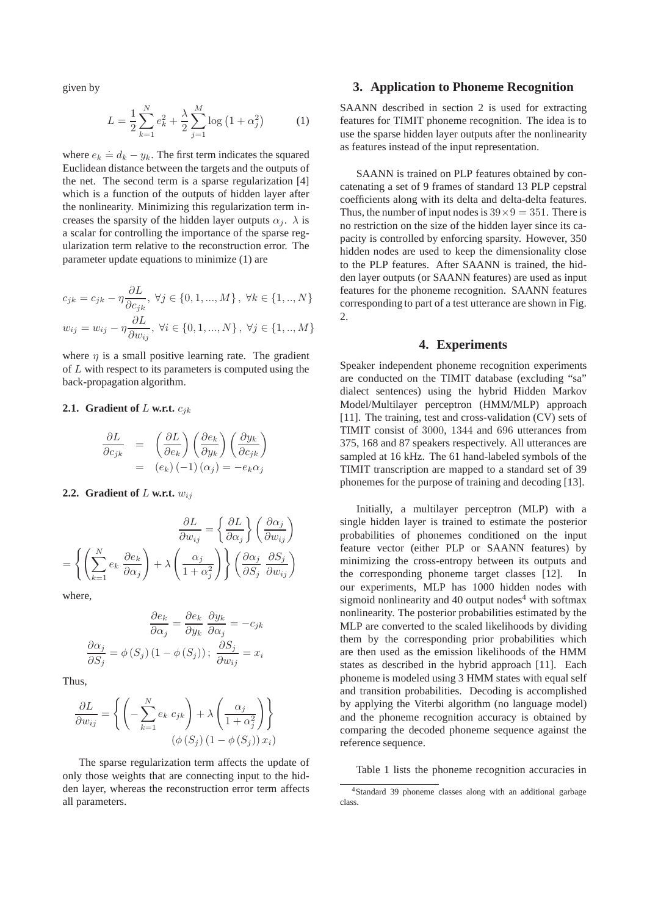given by

$$
L = \frac{1}{2} \sum_{k=1}^{N} e_k^2 + \frac{\lambda}{2} \sum_{j=1}^{M} \log \left( 1 + \alpha_j^2 \right) \tag{1}
$$

where  $e_k \doteq d_k - y_k$ . The first term indicates the squared Euclidean distance between the targets and the outputs of the net. The second term is a sparse regularization [4] which is a function of the outputs of hidden layer after the nonlinearity. Minimizing this regularization term increases the sparsity of the hidden layer outputs  $\alpha_i$ .  $\lambda$  is a scalar for controlling the importance of the sparse regularization term relative to the reconstruction error. The parameter update equations to minimize (1) are

$$
c_{jk} = c_{jk} - \eta \frac{\partial L}{\partial c_{jk}}, \ \forall j \in \{0, 1, ..., M\}, \ \forall k \in \{1, ..., N\}
$$

$$
w_{ij} = w_{ij} - \eta \frac{\partial L}{\partial w_{ij}}, \ \forall i \in \{0, 1, ..., N\}, \ \forall j \in \{1, ..., M\}
$$

where  $\eta$  is a small positive learning rate. The gradient of L with respect to its parameters is computed using the back-propagation algorithm.

#### **2.1.** Gradient of L w.r.t.  $c_{ik}$

$$
\frac{\partial L}{\partial c_{jk}} = \left(\frac{\partial L}{\partial e_k}\right) \left(\frac{\partial e_k}{\partial y_k}\right) \left(\frac{\partial y_k}{\partial c_{jk}}\right)
$$

$$
= (e_k) (-1) (\alpha_j) = -e_k \alpha_j
$$

#### **2.2.** Gradient of  $L$  w.r.t.  $w_{ij}$

$$
\frac{\partial L}{\partial w_{ij}} = \left\{ \frac{\partial L}{\partial \alpha_j} \right\} \left( \frac{\partial \alpha_j}{\partial w_{ij}} \right)
$$

$$
= \left\{ \left( \sum_{k=1}^N e_k \frac{\partial e_k}{\partial \alpha_j} \right) + \lambda \left( \frac{\alpha_j}{1 + \alpha_j^2} \right) \right\} \left( \frac{\partial \alpha_j}{\partial S_j} \frac{\partial S_j}{\partial w_{ij}} \right)
$$

where,

$$
\frac{\partial e_k}{\partial \alpha_j} = \frac{\partial e_k}{\partial y_k} \frac{\partial y_k}{\partial \alpha_j} = -c_{jk}
$$

$$
\frac{\partial \alpha_j}{\partial S_j} = \phi(S_j) (1 - \phi(S_j)); \frac{\partial S_j}{\partial w_{ij}} = x_i
$$

Thus,

$$
\frac{\partial L}{\partial w_{ij}} = \left\{ \left( -\sum_{k=1}^{N} e_k \ c_{jk} \right) + \lambda \left( \frac{\alpha_j}{1 + \alpha_j^2} \right) \right\}
$$

$$
(\phi(S_j) (1 - \phi(S_j)) x_i)
$$

The sparse regularization term affects the update of only those weights that are connecting input to the hidden layer, whereas the reconstruction error term affects all parameters.

## **3. Application to Phoneme Recognition**

SAANN described in section 2 is used for extracting features for TIMIT phoneme recognition. The idea is to use the sparse hidden layer outputs after the nonlinearity as features instead of the input representation.

SAANN is trained on PLP features obtained by concatenating a set of 9 frames of standard 13 PLP cepstral coefficients along with its delta and delta-delta features. Thus, the number of input nodes is  $39 \times 9 = 351$ . There is no restriction on the size of the hidden layer since its capacity is controlled by enforcing sparsity. However, 350 hidden nodes are used to keep the dimensionality close to the PLP features. After SAANN is trained, the hidden layer outputs (or SAANN features) are used as input features for the phoneme recognition. SAANN features corresponding to part of a test utterance are shown in Fig.  $\mathcal{D}$ 

#### **4. Experiments**

Speaker independent phoneme recognition experiments are conducted on the TIMIT database (excluding "sa" dialect sentences) using the hybrid Hidden Markov Model/Multilayer perceptron (HMM/MLP) approach [11]. The training, test and cross-validation (CV) sets of TIMIT consist of 3000, 1344 and 696 utterances from 375, 168 and 87 speakers respectively. All utterances are sampled at 16 kHz. The 61 hand-labeled symbols of the TIMIT transcription are mapped to a standard set of 39 phonemes for the purpose of training and decoding [13].

Initially, a multilayer perceptron (MLP) with a single hidden layer is trained to estimate the posterior probabilities of phonemes conditioned on the input feature vector (either PLP or SAANN features) by minimizing the cross-entropy between its outputs and the corresponding phoneme target classes [12]. In our experiments, MLP has 1000 hidden nodes with sigmoid nonlinearity and  $40$  output nodes<sup>4</sup> with softmax nonlinearity. The posterior probabilities estimated by the MLP are converted to the scaled likelihoods by dividing them by the corresponding prior probabilities which are then used as the emission likelihoods of the HMM states as described in the hybrid approach [11]. Each phoneme is modeled using 3 HMM states with equal self and transition probabilities. Decoding is accomplished by applying the Viterbi algorithm (no language model) and the phoneme recognition accuracy is obtained by comparing the decoded phoneme sequence against the reference sequence.

Table 1 lists the phoneme recognition accuracies in

<sup>4</sup>Standard 39 phoneme classes along with an additional garbage class.